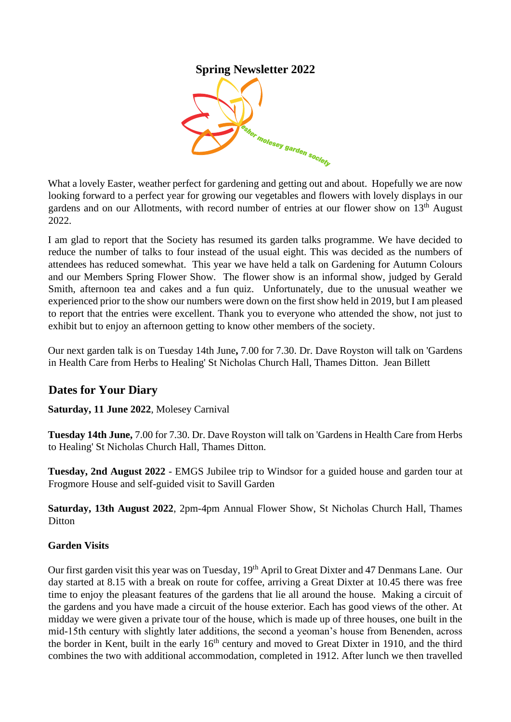## **Spring Newsletter 2022**



What a lovely Easter, weather perfect for gardening and getting out and about. Hopefully we are now looking forward to a perfect year for growing our vegetables and flowers with lovely displays in our gardens and on our Allotments, with record number of entries at our flower show on 13<sup>th</sup> August 2022.

I am glad to report that the Society has resumed its garden talks programme. We have decided to reduce the number of talks to four instead of the usual eight. This was decided as the numbers of attendees has reduced somewhat. This year we have held a talk on Gardening for Autumn Colours and our Members Spring Flower Show. The flower show is an informal show, judged by Gerald Smith, afternoon tea and cakes and a fun quiz. Unfortunately, due to the unusual weather we experienced prior to the show our numbers were down on the first show held in 2019, but I am pleased to report that the entries were excellent. Thank you to everyone who attended the show, not just to exhibit but to enjoy an afternoon getting to know other members of the society.

Our next garden talk is on Tuesday 14th June**,** 7.00 for 7.30. Dr. Dave Royston will talk on 'Gardens in Health Care from Herbs to Healing' St Nicholas Church Hall, Thames Ditton. Jean Billett

# **Dates for Your Diary**

**Saturday, 11 June 2022**, Molesey Carnival

**Tuesday 14th June,** 7.00 for 7.30. Dr. Dave Royston will talk on 'Gardens in Health Care from Herbs to Healing' St Nicholas Church Hall, Thames Ditton.

**Tuesday, 2nd August 2022** - EMGS Jubilee trip to Windsor for a guided house and garden tour at Frogmore House and self-guided visit to Savill Garden

**Saturday, 13th August 2022**, 2pm-4pm Annual Flower Show, St Nicholas Church Hall, Thames **Ditton** 

### **Garden Visits**

Our first garden visit this year was on Tuesday, 19<sup>th</sup> April to Great Dixter and 47 Denmans Lane. Our day started at 8.15 with a break on route for coffee, arriving a Great Dixter at 10.45 there was free time to enjoy the pleasant features of the gardens that lie all around the house. Making a circuit of the gardens and you have made a circuit of the house exterior. Each has good views of the other. At midday we were given a private tour of the house, which is made up of three houses, one built in the mid-15th century with slightly later additions, the second a yeoman's house from Benenden, across the border in Kent, built in the early 16<sup>th</sup> century and moved to Great Dixter in 1910, and the third combines the two with additional accommodation, completed in 1912. After lunch we then travelled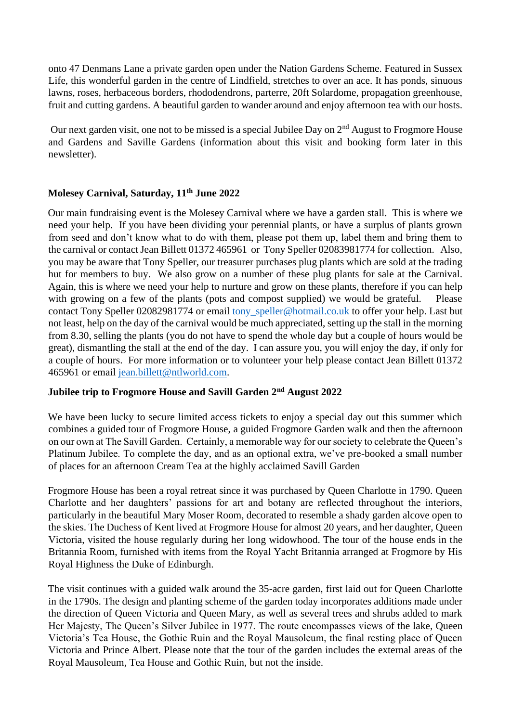onto 47 Denmans Lane a private garden open under the Nation Gardens Scheme. Featured in Sussex Life, this wonderful garden in the centre of Lindfield, stretches to over an ace. It has ponds, sinuous lawns, roses, herbaceous borders, rhododendrons, parterre, 20ft Solardome, propagation greenhouse, fruit and cutting gardens. A beautiful garden to wander around and enjoy afternoon tea with our hosts.

Our next garden visit, one not to be missed is a special Jubilee Day on 2<sup>nd</sup> August to Frogmore House and Gardens and Saville Gardens (information about this visit and booking form later in this newsletter).

### **Molesey Carnival, Saturday, 11th June 2022**

Our main fundraising event is the Molesey Carnival where we have a garden stall. This is where we need your help. If you have been dividing your perennial plants, or have a surplus of plants grown from seed and don't know what to do with them, please pot them up, label them and bring them to the carnival or contact Jean Billett 01372 465961 or Tony Speller 02083981774 for collection. Also, you may be aware that Tony Speller, our treasurer purchases plug plants which are sold at the trading hut for members to buy. We also grow on a number of these plug plants for sale at the Carnival. Again, this is where we need your help to nurture and grow on these plants, therefore if you can help with growing on a few of the plants (pots and compost supplied) we would be grateful. Please contact Tony Speller 02082981774 or email tony\_speller@hotmail.co.uk to offer your help. Last but not least, help on the day of the carnival would be much appreciated, setting up the stall in the morning from 8.30, selling the plants (you do not have to spend the whole day but a couple of hours would be great), dismantling the stall at the end of the day. I can assure you, you will enjoy the day, if only for a couple of hours. For more information or to volunteer your help please contact Jean Billett 01372 465961 or email jean.billett@ntlworld.com.

### **Jubilee trip to Frogmore House and Savill Garden 2nd August 2022**

We have been lucky to secure limited access tickets to enjoy a special day out this summer which combines a guided tour of Frogmore House, a guided Frogmore Garden walk and then the afternoon on our own at The Savill Garden. Certainly, a memorable way for our society to celebrate the Queen's Platinum Jubilee. To complete the day, and as an optional extra, we've pre-booked a small number of places for an afternoon Cream Tea at the highly acclaimed Savill Garden

Frogmore House has been a royal retreat since it was purchased by Queen Charlotte in 1790. Queen Charlotte and her daughters' passions for art and botany are reflected throughout the interiors, particularly in the beautiful Mary Moser Room, decorated to resemble a shady garden alcove open to the skies. The Duchess of Kent lived at Frogmore House for almost 20 years, and her daughter, Queen Victoria, visited the house regularly during her long widowhood. The tour of the house ends in the Britannia Room, furnished with items from the Royal Yacht Britannia arranged at Frogmore by His Royal Highness the Duke of Edinburgh.

The visit continues with a guided walk around the 35-acre garden, first laid out for Queen Charlotte in the 1790s. The design and planting scheme of the garden today incorporates additions made under the direction of Queen Victoria and Queen Mary, as well as several trees and shrubs added to mark Her Majesty, The Queen's Silver Jubilee in 1977. The route encompasses views of the lake, Queen Victoria's Tea House, the Gothic Ruin and the Royal Mausoleum, the final resting place of Queen Victoria and Prince Albert. Please note that the tour of the garden includes the external areas of the Royal Mausoleum, Tea House and Gothic Ruin, but not the inside.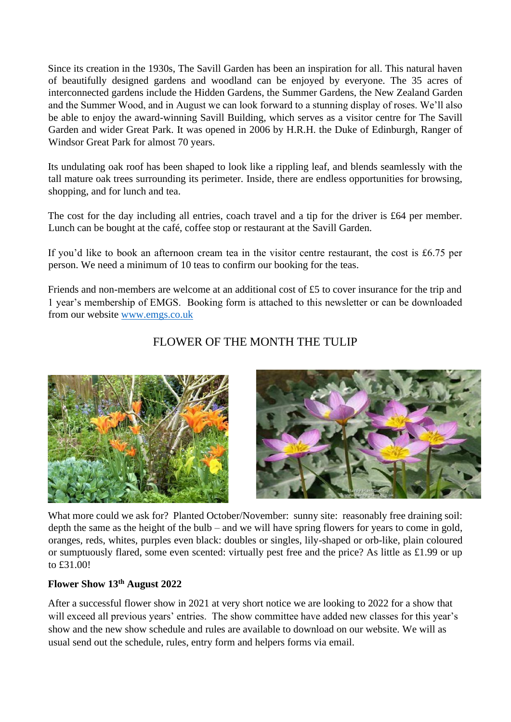Since its creation in the 1930s, The Savill Garden has been an inspiration for all. This natural haven of beautifully designed gardens and woodland can be enjoyed by everyone. The 35 acres of interconnected gardens include the Hidden Gardens, the Summer Gardens, the New Zealand Garden and the Summer Wood, and in August we can look forward to a stunning display of roses. We'll also be able to enjoy the award-winning Savill Building, which serves as a visitor centre for The Savill Garden and wider Great Park. It was opened in 2006 by H.R.H. the Duke of Edinburgh, Ranger of Windsor Great Park for almost 70 years.

Its undulating oak roof has been shaped to look like a rippling leaf, and blends seamlessly with the tall mature oak trees surrounding its perimeter. Inside, there are endless opportunities for browsing, shopping, and for lunch and tea.

The cost for the day including all entries, coach travel and a tip for the driver is £64 per member. Lunch can be bought at the café, coffee stop or restaurant at the Savill Garden.

If you'd like to book an afternoon cream tea in the visitor centre restaurant, the cost is £6.75 per person. We need a minimum of 10 teas to confirm our booking for the teas.

Friends and non-members are welcome at an additional cost of £5 to cover insurance for the trip and 1 year's membership of EMGS. Booking form is attached to this newsletter or can be downloaded from our website [www.emgs.co.uk](http://www.emgs.co.uk/)

## FLOWER OF THE MONTH THE TULIP



What more could we ask for? Planted October/November: sunny site: reasonably free draining soil: depth the same as the height of the bulb – and we will have spring flowers for years to come in gold, oranges, reds, whites, purples even black: doubles or singles, lily-shaped or orb-like, plain coloured or sumptuously flared, some even scented: virtually pest free and the price? As little as £1.99 or up to £31.00!

### **Flower Show 13th August 2022**

After a successful flower show in 2021 at very short notice we are looking to 2022 for a show that will exceed all previous years' entries. The show committee have added new classes for this year's show and the new show schedule and rules are available to download on our website. We will as usual send out the schedule, rules, entry form and helpers forms via email.